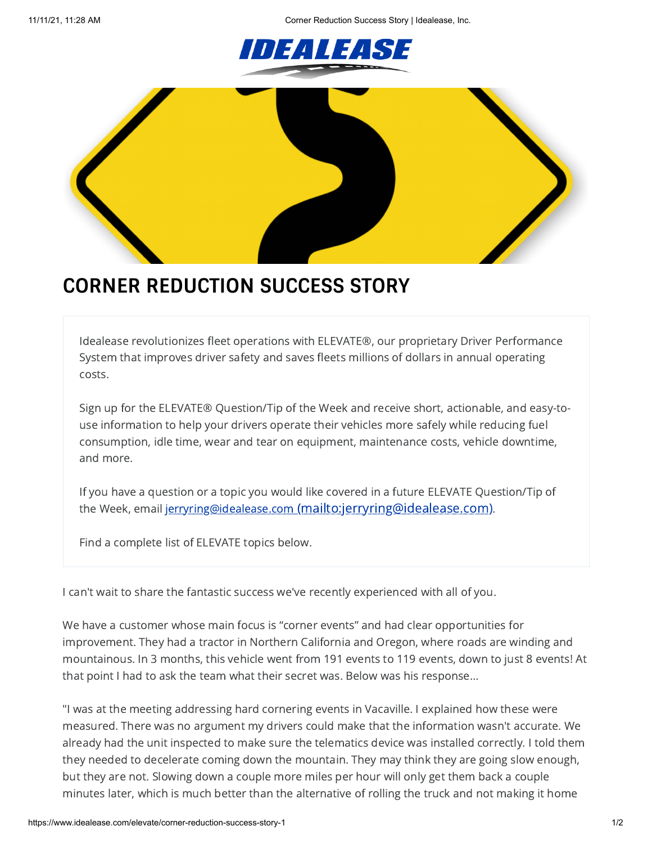11/11/21, 11:28 AM Corner Reduction Success Story | Idealease, Inc.





## **CORNER REDUCTION SUCCESS STORY**

Idealease revolutionizes fleet operations with ELEVATE®, our proprietary Driver Performance System that improves driver safety and saves fleets millions of dollars in annual operating costs.

Sign up for the ELEVATE® Question/Tip of the Week and receive short, actionable, and easy-touse information to help your drivers operate their vehicles more safely while reducing fuel consumption, idle time, wear and tear on equipment, maintenance costs, vehicle downtime, and more.

If you have a question or a topic you would like covered in a future ELEVATE Question/Tip of the Week, email jerryring@idealease.com [\(mailto:jerryring@idealease.com\)](mailto:jerryring@idealease.com).

Find a complete list of ELEVATE topics below.

I can't wait to share the fantastic success we've recently experienced with all of you.

We have a customer whose main focus is "corner events" and had clear opportunities for improvement. They had a tractor in Northern California and Oregon, where roads are winding and mountainous. In 3 months, this vehicle went from 191 events to 119 events, down to just 8 events! At that point I had to ask the team what their secret was. Below was his response…

"I was at the meeting addressing hard cornering events in Vacaville. I explained how these were measured. There was no argument my drivers could make that the information wasn't accurate. We already had the unit inspected to make sure the telematics device was installed correctly. I told them they needed to decelerate coming down the mountain. They may think they are going slow enough, but they are not. Slowing down a couple more miles per hour will only get them back a couple minutes later, which is much better than the alternative of rolling the truck and not making it home